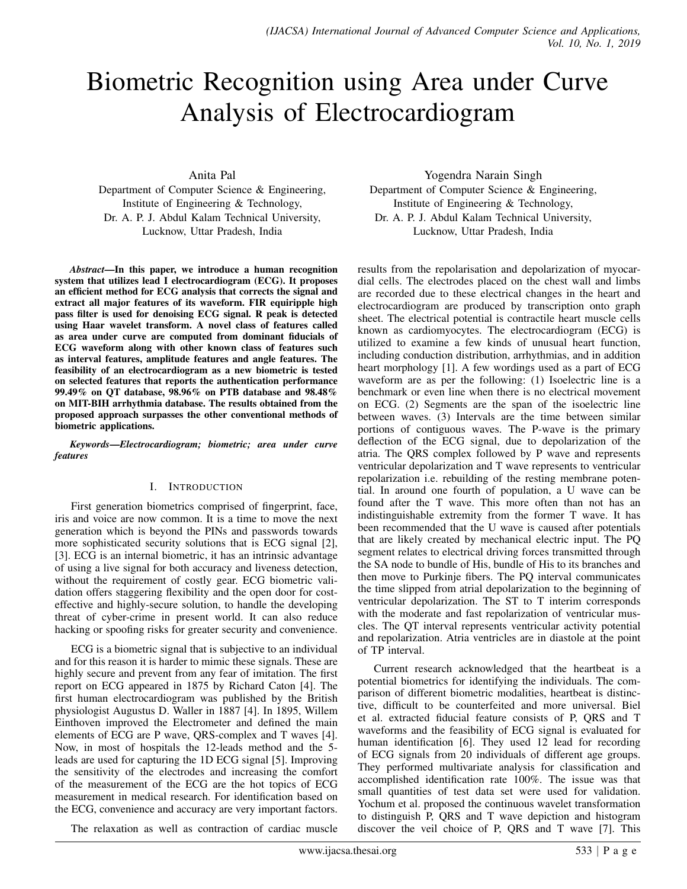# Biometric Recognition using Area under Curve Analysis of Electrocardiogram

Anita Pal

Department of Computer Science & Engineering, Institute of Engineering & Technology, Dr. A. P. J. Abdul Kalam Technical University, Lucknow, Uttar Pradesh, India

*Abstract*—In this paper, we introduce a human recognition system that utilizes lead I electrocardiogram (ECG). It proposes an efficient method for ECG analysis that corrects the signal and extract all major features of its waveform. FIR equiripple high pass filter is used for denoising ECG signal. R peak is detected using Haar wavelet transform. A novel class of features called as area under curve are computed from dominant fiducials of ECG waveform along with other known class of features such as interval features, amplitude features and angle features. The feasibility of an electrocardiogram as a new biometric is tested on selected features that reports the authentication performance 99.49% on QT database, 98.96% on PTB database and 98.48% on MIT-BIH arrhythmia database. The results obtained from the proposed approach surpasses the other conventional methods of biometric applications.

*Keywords*—*Electrocardiogram; biometric; area under curve features*

## I. INTRODUCTION

First generation biometrics comprised of fingerprint, face, iris and voice are now common. It is a time to move the next generation which is beyond the PINs and passwords towards more sophisticated security solutions that is ECG signal [2], [3]. ECG is an internal biometric, it has an intrinsic advantage of using a live signal for both accuracy and liveness detection, without the requirement of costly gear. ECG biometric validation offers staggering flexibility and the open door for costeffective and highly-secure solution, to handle the developing threat of cyber-crime in present world. It can also reduce hacking or spoofing risks for greater security and convenience.

ECG is a biometric signal that is subjective to an individual and for this reason it is harder to mimic these signals. These are highly secure and prevent from any fear of imitation. The first report on ECG appeared in 1875 by Richard Caton [4]. The first human electrocardiogram was published by the British physiologist Augustus D. Waller in 1887 [4]. In 1895, Willem Einthoven improved the Electrometer and defined the main elements of ECG are P wave, QRS-complex and T waves [4]. Now, in most of hospitals the 12-leads method and the 5 leads are used for capturing the 1D ECG signal [5]. Improving the sensitivity of the electrodes and increasing the comfort of the measurement of the ECG are the hot topics of ECG measurement in medical research. For identification based on the ECG, convenience and accuracy are very important factors.

Yogendra Narain Singh Department of Computer Science & Engineering, Institute of Engineering & Technology, Dr. A. P. J. Abdul Kalam Technical University, Lucknow, Uttar Pradesh, India

results from the repolarisation and depolarization of myocardial cells. The electrodes placed on the chest wall and limbs are recorded due to these electrical changes in the heart and electrocardiogram are produced by transcription onto graph sheet. The electrical potential is contractile heart muscle cells known as cardiomyocytes. The electrocardiogram (ECG) is utilized to examine a few kinds of unusual heart function, including conduction distribution, arrhythmias, and in addition heart morphology [1]. A few wordings used as a part of ECG waveform are as per the following: (1) Isoelectric line is a benchmark or even line when there is no electrical movement on ECG. (2) Segments are the span of the isoelectric line between waves. (3) Intervals are the time between similar portions of contiguous waves. The P-wave is the primary deflection of the ECG signal, due to depolarization of the atria. The QRS complex followed by P wave and represents ventricular depolarization and T wave represents to ventricular repolarization i.e. rebuilding of the resting membrane potential. In around one fourth of population, a U wave can be found after the T wave. This more often than not has an indistinguishable extremity from the former T wave. It has been recommended that the U wave is caused after potentials that are likely created by mechanical electric input. The PQ segment relates to electrical driving forces transmitted through the SA node to bundle of His, bundle of His to its branches and then move to Purkinje fibers. The PQ interval communicates the time slipped from atrial depolarization to the beginning of ventricular depolarization. The ST to T interim corresponds with the moderate and fast repolarization of ventricular muscles. The QT interval represents ventricular activity potential and repolarization. Atria ventricles are in diastole at the point of TP interval.

Current research acknowledged that the heartbeat is a potential biometrics for identifying the individuals. The comparison of different biometric modalities, heartbeat is distinctive, difficult to be counterfeited and more universal. Biel et al. extracted fiducial feature consists of P, QRS and T waveforms and the feasibility of ECG signal is evaluated for human identification [6]. They used 12 lead for recording of ECG signals from 20 individuals of different age groups. They performed multivariate analysis for classification and accomplished identification rate 100%. The issue was that small quantities of test data set were used for validation. Yochum et al. proposed the continuous wavelet transformation to distinguish P, QRS and T wave depiction and histogram discover the veil choice of P, QRS and T wave [7]. This

The relaxation as well as contraction of cardiac muscle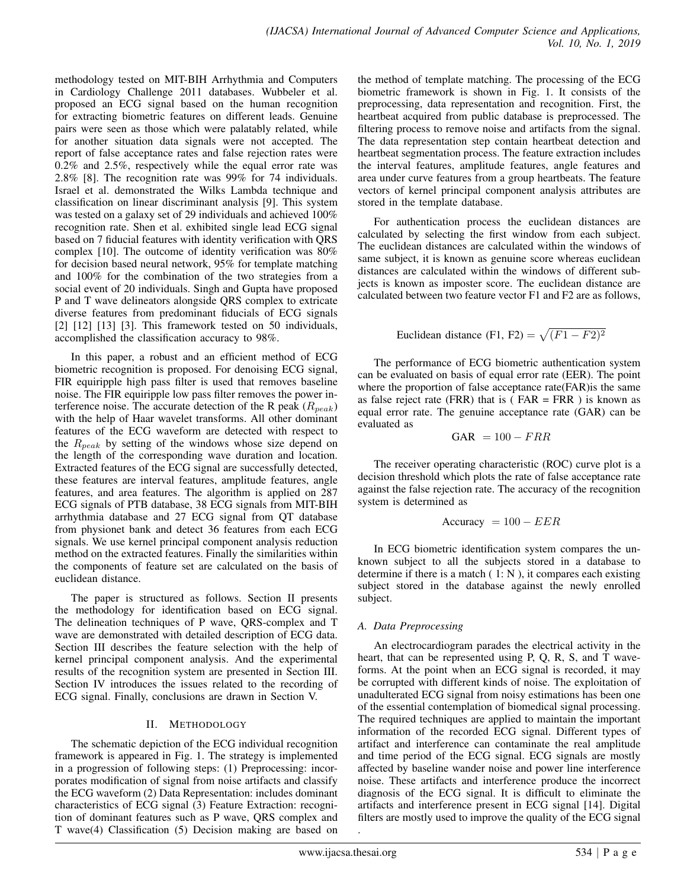methodology tested on MIT-BIH Arrhythmia and Computers in Cardiology Challenge 2011 databases. Wubbeler et al. proposed an ECG signal based on the human recognition for extracting biometric features on different leads. Genuine pairs were seen as those which were palatably related, while for another situation data signals were not accepted. The report of false acceptance rates and false rejection rates were 0.2% and 2.5%, respectively while the equal error rate was 2.8% [8]. The recognition rate was 99% for 74 individuals. Israel et al. demonstrated the Wilks Lambda technique and classification on linear discriminant analysis [9]. This system was tested on a galaxy set of 29 individuals and achieved 100% recognition rate. Shen et al. exhibited single lead ECG signal based on 7 fiducial features with identity verification with QRS complex [10]. The outcome of identity verification was 80% for decision based neural network, 95% for template matching and 100% for the combination of the two strategies from a social event of 20 individuals. Singh and Gupta have proposed P and T wave delineators alongside QRS complex to extricate diverse features from predominant fiducials of ECG signals [2] [12] [13] [3]. This framework tested on 50 individuals, accomplished the classification accuracy to 98%.

In this paper, a robust and an efficient method of ECG biometric recognition is proposed. For denoising ECG signal, FIR equiripple high pass filter is used that removes baseline noise. The FIR equiripple low pass filter removes the power interference noise. The accurate detection of the R peak  $(R_{peak})$ with the help of Haar wavelet transforms. All other dominant features of the ECG waveform are detected with respect to the  $R_{peak}$  by setting of the windows whose size depend on the length of the corresponding wave duration and location. Extracted features of the ECG signal are successfully detected, these features are interval features, amplitude features, angle features, and area features. The algorithm is applied on 287 ECG signals of PTB database, 38 ECG signals from MIT-BIH arrhythmia database and 27 ECG signal from QT database from physionet bank and detect 36 features from each ECG signals. We use kernel principal component analysis reduction method on the extracted features. Finally the similarities within the components of feature set are calculated on the basis of euclidean distance.

The paper is structured as follows. Section II presents the methodology for identification based on ECG signal. The delineation techniques of P wave, QRS-complex and T wave are demonstrated with detailed description of ECG data. Section III describes the feature selection with the help of kernel principal component analysis. And the experimental results of the recognition system are presented in Section III. Section IV introduces the issues related to the recording of ECG signal. Finally, conclusions are drawn in Section V.

# II. METHODOLOGY

The schematic depiction of the ECG individual recognition framework is appeared in Fig. 1. The strategy is implemented in a progression of following steps: (1) Preprocessing: incorporates modification of signal from noise artifacts and classify the ECG waveform (2) Data Representation: includes dominant characteristics of ECG signal (3) Feature Extraction: recognition of dominant features such as P wave, QRS complex and T wave(4) Classification (5) Decision making are based on the method of template matching. The processing of the ECG biometric framework is shown in Fig. 1. It consists of the preprocessing, data representation and recognition. First, the heartbeat acquired from public database is preprocessed. The filtering process to remove noise and artifacts from the signal. The data representation step contain heartbeat detection and heartbeat segmentation process. The feature extraction includes the interval features, amplitude features, angle features and area under curve features from a group heartbeats. The feature vectors of kernel principal component analysis attributes are stored in the template database.

For authentication process the euclidean distances are calculated by selecting the first window from each subject. The euclidean distances are calculated within the windows of same subject, it is known as genuine score whereas euclidean distances are calculated within the windows of different subjects is known as imposter score. The euclidean distance are calculated between two feature vector F1 and F2 are as follows,

Euclidean distance (F1, F2) =  $\sqrt{(F1 - F2)^2}$ 

The performance of ECG biometric authentication system can be evaluated on basis of equal error rate (EER). The point where the proportion of false acceptance rate(FAR)is the same as false reject rate (FRR) that is ( $FAR = FRR$ ) is known as equal error rate. The genuine acceptance rate (GAR) can be evaluated as

$$
GAR = 100 - FRR
$$

The receiver operating characteristic (ROC) curve plot is a decision threshold which plots the rate of false acceptance rate against the false rejection rate. The accuracy of the recognition system is determined as

$$
Accuracy = 100 - EER
$$

In ECG biometric identification system compares the unknown subject to all the subjects stored in a database to determine if there is a match  $(1: N)$ , it compares each existing subject stored in the database against the newly enrolled subject.

# *A. Data Preprocessing*

An electrocardiogram parades the electrical activity in the heart, that can be represented using P, Q, R, S, and T waveforms. At the point when an ECG signal is recorded, it may be corrupted with different kinds of noise. The exploitation of unadulterated ECG signal from noisy estimations has been one of the essential contemplation of biomedical signal processing. The required techniques are applied to maintain the important information of the recorded ECG signal. Different types of artifact and interference can contaminate the real amplitude and time period of the ECG signal. ECG signals are mostly affected by baseline wander noise and power line interference noise. These artifacts and interference produce the incorrect diagnosis of the ECG signal. It is difficult to eliminate the artifacts and interference present in ECG signal [14]. Digital filters are mostly used to improve the quality of the ECG signal

.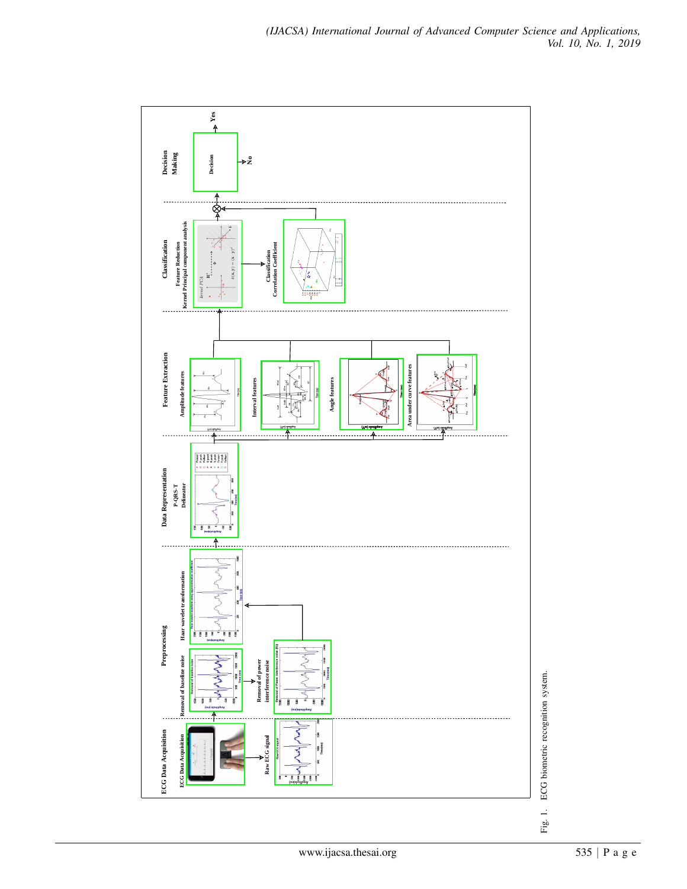

ECG biometric recognition system. Fig. 1. ECG biometric recognition system.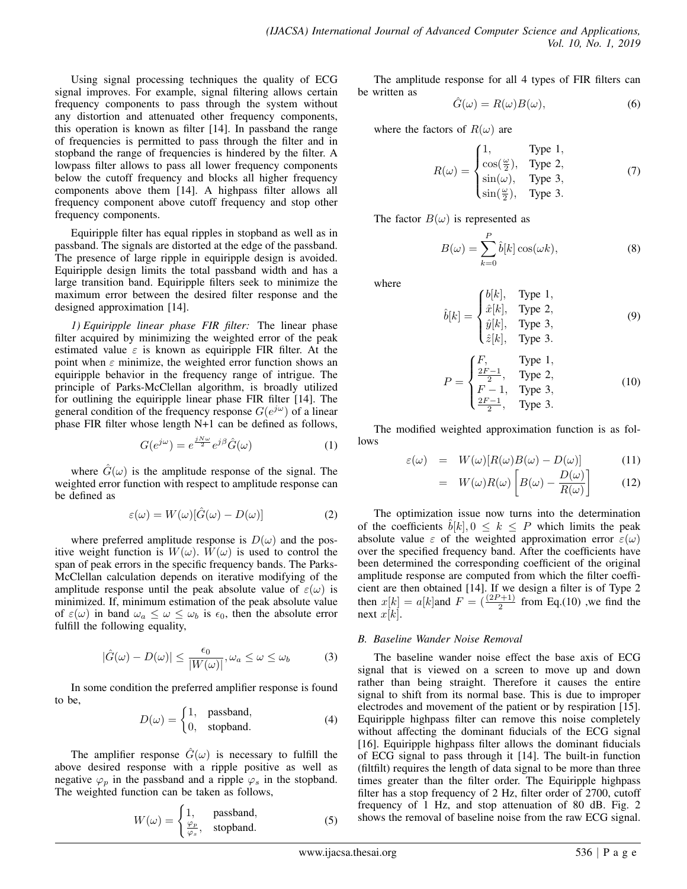Using signal processing techniques the quality of ECG signal improves. For example, signal filtering allows certain frequency components to pass through the system without any distortion and attenuated other frequency components, this operation is known as filter [14]. In passband the range of frequencies is permitted to pass through the filter and in stopband the range of frequencies is hindered by the filter. A lowpass filter allows to pass all lower frequency components below the cutoff frequency and blocks all higher frequency components above them [14]. A highpass filter allows all frequency component above cutoff frequency and stop other frequency components.

Equiripple filter has equal ripples in stopband as well as in passband. The signals are distorted at the edge of the passband. The presence of large ripple in equiripple design is avoided. Equiripple design limits the total passband width and has a large transition band. Equiripple filters seek to minimize the maximum error between the desired filter response and the designed approximation [14].

*1) Equiripple linear phase FIR filter:* The linear phase filter acquired by minimizing the weighted error of the peak estimated value  $\varepsilon$  is known as equiripple FIR filter. At the point when  $\varepsilon$  minimize, the weighted error function shows an equiripple behavior in the frequency range of intrigue. The principle of Parks-McClellan algorithm, is broadly utilized for outlining the equiripple linear phase FIR filter [14]. The general condition of the frequency response  $G(e^{j\omega})$  of a linear phase FIR filter whose length N+1 can be defined as follows,

$$
G(e^{j\omega}) = e^{\frac{jN\omega}{2}}e^{j\beta}\hat{G}(\omega)
$$
 (1)

where  $\hat{G}(\omega)$  is the amplitude response of the signal. The weighted error function with respect to amplitude response can be defined as

$$
\varepsilon(\omega) = W(\omega)[\hat{G}(\omega) - D(\omega)] \tag{2}
$$

where preferred amplitude response is  $D(\omega)$  and the positive weight function is  $W(\omega)$ .  $W(\omega)$  is used to control the span of peak errors in the specific frequency bands. The Parks-McClellan calculation depends on iterative modifying of the amplitude response until the peak absolute value of  $\varepsilon(\omega)$  is minimized. If, minimum estimation of the peak absolute value of  $\varepsilon(\omega)$  in band  $\omega_a \leq \omega \leq \omega_b$  is  $\epsilon_0$ , then the absolute error fulfill the following equality,

$$
|\hat{G}(\omega) - D(\omega)| \le \frac{\epsilon_0}{|W(\omega)|}, \omega_a \le \omega \le \omega_b \tag{3}
$$

In some condition the preferred amplifier response is found to be,

$$
D(\omega) = \begin{cases} 1, & \text{passband,} \\ 0, & \text{stopband.} \end{cases}
$$
 (4)

The amplifier response  $G(\omega)$  is necessary to fulfill the above desired response with a ripple positive as well as negative  $\varphi_p$  in the passband and a ripple  $\varphi_s$  in the stopband. The weighted function can be taken as follows,

$$
W(\omega) = \begin{cases} 1, & \text{passband,} \\ \frac{\varphi_p}{\varphi_s}, & \text{stopband.} \end{cases}
$$
 (5)

The amplitude response for all 4 types of FIR filters can be written as

$$
\hat{G}(\omega) = R(\omega)B(\omega),\tag{6}
$$

where the factors of  $R(\omega)$  are

$$
R(\omega) = \begin{cases} 1, & \text{Type 1,} \\ \cos(\frac{\omega}{2}), & \text{Type 2,} \\ \sin(\omega), & \text{Type 3,} \\ \sin(\frac{\omega}{2}), & \text{Type 3.} \end{cases} \tag{7}
$$

The factor  $B(\omega)$  is represented as

$$
B(\omega) = \sum_{k=0}^{P} \hat{b}[k] \cos(\omega k), \qquad (8)
$$

where

$$
\hat{b}[k] = \begin{cases} b[k], & \text{Type 1,} \\ \hat{x}[k], & \text{Type 2,} \\ \hat{y}[k], & \text{Type 3,} \\ \hat{z}[k], & \text{Type 3.} \end{cases} \tag{9}
$$

$$
P = \begin{cases} F, & \text{Type 1,} \\ \frac{2F-1}{2}, & \text{Type 2,} \\ F-1, & \text{Type 3,} \\ \frac{2F-1}{2}, & \text{Type 3.} \end{cases}
$$
 (10)

The modified weighted approximation function is as follows

$$
\varepsilon(\omega) = W(\omega)[R(\omega)B(\omega) - D(\omega)] \tag{11}
$$

$$
= W(\omega)R(\omega)\left[B(\omega) - \frac{D(\omega)}{R(\omega)}\right] \quad (12)
$$

The optimization issue now turns into the determination of the coefficients  $b[k], 0 \leq k \leq P$  which limits the peak absolute value  $\varepsilon$  of the weighted approximation error  $\varepsilon(\omega)$ over the specified frequency band. After the coefficients have been determined the corresponding coefficient of the original amplitude response are computed from which the filter coefficient are then obtained [14]. If we design a filter is of Type 2 then  $x[k] = a[k]$  and  $F = \left(\frac{(2P+1)}{2}\right)$  from Eq.(10), we find the next  $x[k]$ .

## *B. Baseline Wander Noise Removal*

The baseline wander noise effect the base axis of ECG signal that is viewed on a screen to move up and down rather than being straight. Therefore it causes the entire signal to shift from its normal base. This is due to improper electrodes and movement of the patient or by respiration [15]. Equiripple highpass filter can remove this noise completely without affecting the dominant fiducials of the ECG signal [16]. Equiripple highpass filter allows the dominant fiducials of ECG signal to pass through it [14]. The built-in function (filtfilt) requires the length of data signal to be more than three times greater than the filter order. The Equiripple highpass filter has a stop frequency of 2 Hz, filter order of 2700, cutoff frequency of 1 Hz, and stop attenuation of 80 dB. Fig. 2 shows the removal of baseline noise from the raw ECG signal.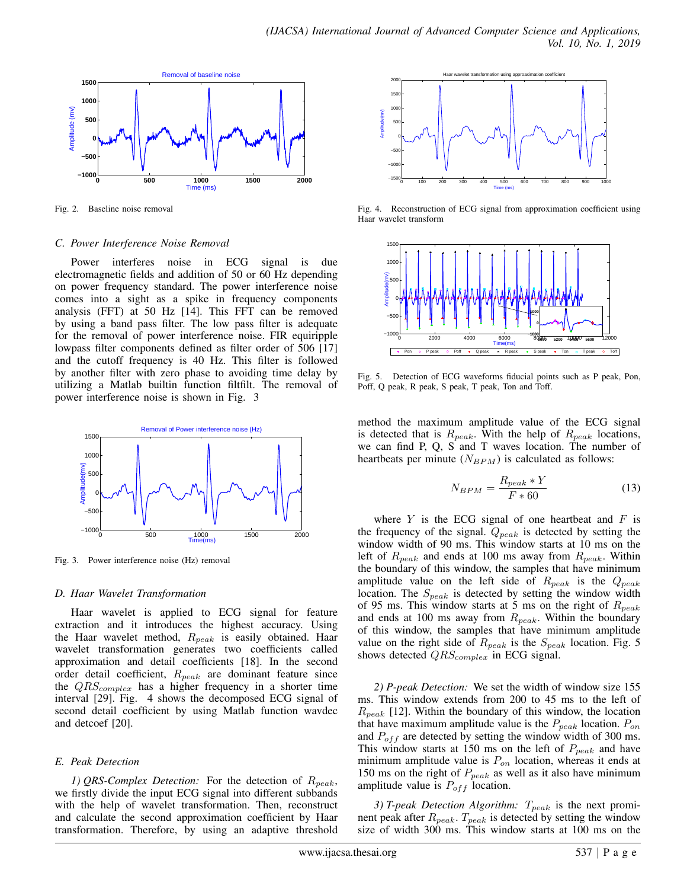

Fig. 2. Baseline noise removal

## *C. Power Interference Noise Removal*

Power interferes noise in ECG signal is due electromagnetic fields and addition of 50 or 60 Hz depending on power frequency standard. The power interference noise comes into a sight as a spike in frequency components analysis (FFT) at 50 Hz [14]. This FFT can be removed by using a band pass filter. The low pass filter is adequate for the removal of power interference noise. FIR equiripple lowpass filter components defined as filter order of 506 [17] and the cutoff frequency is 40 Hz. This filter is followed by another filter with zero phase to avoiding time delay by utilizing a Matlab builtin function filtfilt. The removal of power interference noise is shown in Fig. 3



Fig. 3. Power interference noise (Hz) removal

# *D. Haar Wavelet Transformation*

Haar wavelet is applied to ECG signal for feature extraction and it introduces the highest accuracy. Using the Haar wavelet method,  $R_{peak}$  is easily obtained. Haar wavelet transformation generates two coefficients called approximation and detail coefficients [18]. In the second order detail coefficient,  $R_{peak}$  are dominant feature since the  $QRS_{complex}$  has a higher frequency in a shorter time interval [29]. Fig. 4 shows the decomposed ECG signal of second detail coefficient by using Matlab function wavdec and detcoef [20].

# *E. Peak Detection*

*1) QRS-Complex Detection:* For the detection of  $R_{peak}$ , we firstly divide the input ECG signal into different subbands with the help of wavelet transformation. Then, reconstruct and calculate the second approximation coefficient by Haar transformation. Therefore, by using an adaptive threshold



Fig. 4. Reconstruction of ECG signal from approximation coefficient using Haar wavelet transform



Fig. 5. Detection of ECG waveforms fiducial points such as P peak, Pon, Poff, Q peak, R peak, S peak, T peak, Ton and Toff.

method the maximum amplitude value of the ECG signal is detected that is  $R_{peak}$ . With the help of  $R_{peak}$  locations, we can find P, Q, S and T waves location. The number of heartbeats per minute  $(N_{BPM})$  is calculated as follows:

$$
N_{BPM} = \frac{R_{peak} * Y}{F * 60}
$$
\n(13)

where  $Y$  is the ECG signal of one heartbeat and  $F$  is the frequency of the signal.  $Q_{peak}$  is detected by setting the window width of 90 ms. This window starts at 10 ms on the left of  $R_{peak}$  and ends at 100 ms away from  $R_{peak}$ . Within the boundary of this window, the samples that have minimum amplitude value on the left side of  $R_{peak}$  is the  $Q_{peak}$ location. The  $S_{peak}$  is detected by setting the window width of 95 ms. This window starts at 5 ms on the right of  $R_{peak}$ and ends at 100 ms away from  $R_{peak}$ . Within the boundary of this window, the samples that have minimum amplitude value on the right side of  $R_{peak}$  is the  $S_{peak}$  location. Fig. 5 shows detected  $QRS_{complex}$  in ECG signal.

*2) P-peak Detection:* We set the width of window size 155 ms. This window extends from 200 to 45 ms to the left of  $R_{peak}$  [12]. Within the boundary of this window, the location that have maximum amplitude value is the  $P_{peak}$  location.  $P_{on}$ and  $P_{off}$  are detected by setting the window width of 300 ms. This window starts at 150 ms on the left of  $P_{peak}$  and have minimum amplitude value is  $P_{on}$  location, whereas it ends at 150 ms on the right of  $P_{peak}$  as well as it also have minimum amplitude value is  $P_{off}$  location.

*3) T-peak Detection Algorithm:*  $T_{peak}$  is the next prominent peak after  $R_{peak}$ .  $T_{peak}$  is detected by setting the window size of width 300 ms. This window starts at 100 ms on the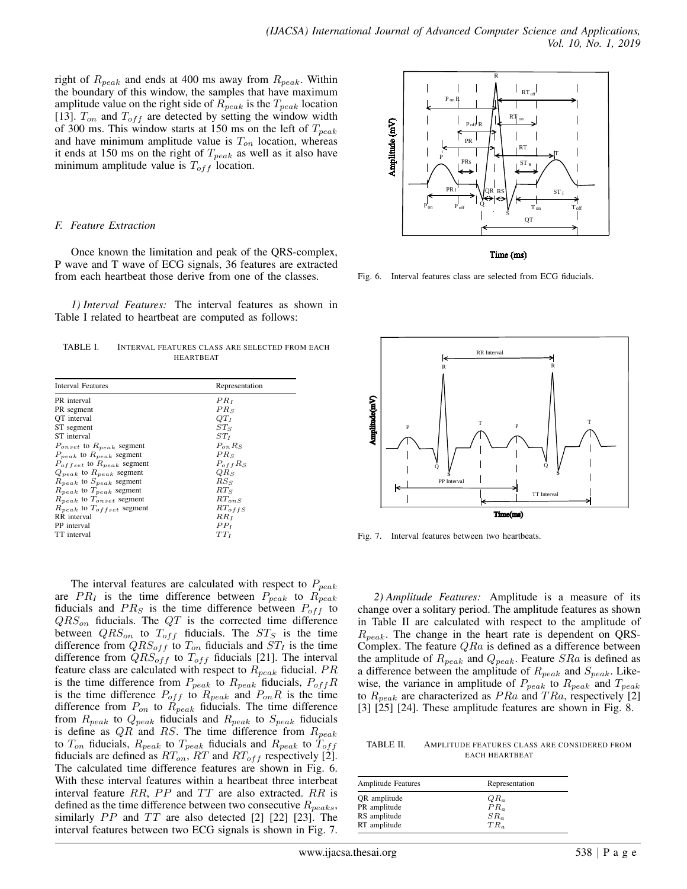right of  $R_{peak}$  and ends at 400 ms away from  $R_{peak}$ . Within the boundary of this window, the samples that have maximum amplitude value on the right side of  $R_{peak}$  is the  $T_{peak}$  location [13].  $T_{on}$  and  $T_{off}$  are detected by setting the window width of 300 ms. This window starts at 150 ms on the left of  $T_{peak}$ and have minimum amplitude value is  $T_{on}$  location, whereas it ends at 150 ms on the right of  $T_{peak}$  as well as it also have minimum amplitude value is  $T_{off}$  location.

#### *F. Feature Extraction*

Once known the limitation and peak of the QRS-complex, P wave and T wave of ECG signals, 36 features are extracted from each heartbeat those derive from one of the classes.

*1) Interval Features:* The interval features as shown in Table I related to heartbeat are computed as follows:

TABLE I. INTERVAL FEATURES CLASS ARE SELECTED FROM EACH HEARTBEAT

| <b>Interval Features</b>           | Representation         |
|------------------------------------|------------------------|
| PR interval                        | $PR_I$                 |
| PR segment                         | $PR_{S}$               |
| OT interval                        | OТ1                    |
| ST segment                         | STs                    |
| ST interval                        | ST <sub>t</sub>        |
| $P_{onset}$ to $R_{peak}$ segment  | $P_{\alpha\alpha} R_S$ |
| $P_{peak}$ to $R_{peak}$ segment   | $PR_S$                 |
| $P_{offset}$ to $R_{peak}$ segment | $P_{off}R_S$           |
| $Q_{peak}$ to $R_{peak}$ segment   | $QR_S$                 |
| $R_{peak}$ to $S_{peak}$ segment   | $RS_S$                 |
| $R_{peak}$ to $T_{peak}$ segment   | RTs                    |
| $R_{peak}$ to $T_{onset}$ segment  | $RT_{\alpha n} s$      |
| $R_{peak}$ to $T_{offset}$ segment | $RT_{offS}$            |
| RR interval                        | RRt                    |
| PP interval                        | PP <sub>I</sub>        |
| TT interval                        | TTr                    |
|                                    |                        |

The interval features are calculated with respect to  $P_{peak}$ are  $PR_I$  is the time difference between  $P_{peak}$  to  $R_{peak}$ fiducials and  $PR_S$  is the time difference between  $P_{off}$  to  $QRS_{on}$  fiducials. The  $QT$  is the corrected time difference between  $QRS_{on}$  to  $T_{off}$  fiducials. The  $ST_S$  is the time difference from  $QRS_{off}$  to  $T_{on}$  fiducials and  $ST_I$  is the time difference from  $QRS_{off}$  to  $T_{off}$  fiducials [21]. The interval feature class are calculated with respect to  $R_{peak}$  fiducial.  $PR$ is the time difference from  $P_{peak}$  to  $R_{peak}$  fiducials,  $P_{off}R$ is the time difference  $P_{off}$  to  $R_{peak}$  and  $P_{on}R$  is the time difference from  $P_{on}$  to  $R_{peak}$  fiducials. The time difference from  $R_{peak}$  to  $Q_{peak}$  fiducials and  $R_{peak}$  to  $S_{peak}$  fiducials is define as  $QR$  and RS. The time difference from  $R_{peak}$ to  $T_{on}$  fiducials,  $R_{peak}$  to  $T_{peak}$  fiducials and  $R_{peak}$  to  $T_{off}$ fiducials are defined as  $RT_{on}$ ,  $RT$  and  $RT_{off}$  respectively [2]. The calculated time difference features are shown in Fig. 6. With these interval features within a heartbeat three interbeat interval feature  $RR$ ,  $PP$  and  $TT$  are also extracted.  $RR$  is defined as the time difference between two consecutive  $R_{\text{peaks}}$ , similarly  $PP$  and  $TT$  are also detected [2] [22] [23]. The interval features between two ECG signals is shown in Fig. 7.



Time (ms)

Fig. 6. Interval features class are selected from ECG fiducials.



Fig. 7. Interval features between two heartbeats.

*2) Amplitude Features:* Amplitude is a measure of its change over a solitary period. The amplitude features as shown in Table II are calculated with respect to the amplitude of  $R_{peak}$ . The change in the heart rate is dependent on QRS-Complex. The feature  $QRa$  is defined as a difference between the amplitude of  $R_{peak}$  and  $Q_{peak}$ . Feature  $SRa$  is defined as a difference between the amplitude of  $R_{peak}$  and  $S_{peak}$ . Likewise, the variance in amplitude of  $P_{peak}$  to  $R_{peak}$  and  $T_{peak}$ to  $R_{peak}$  are characterized as  $PRa$  and  $TRa$ , respectively [2] [3] [25] [24]. These amplitude features are shown in Fig. 8.

TABLE II. AMPLITUDE FEATURES CLASS ARE CONSIDERED FROM EACH HEARTBEAT

| Representation  |
|-----------------|
| $QR_a$          |
| $PR_{\alpha}$   |
| SR <sub>a</sub> |
| $TR_{\alpha}$   |
|                 |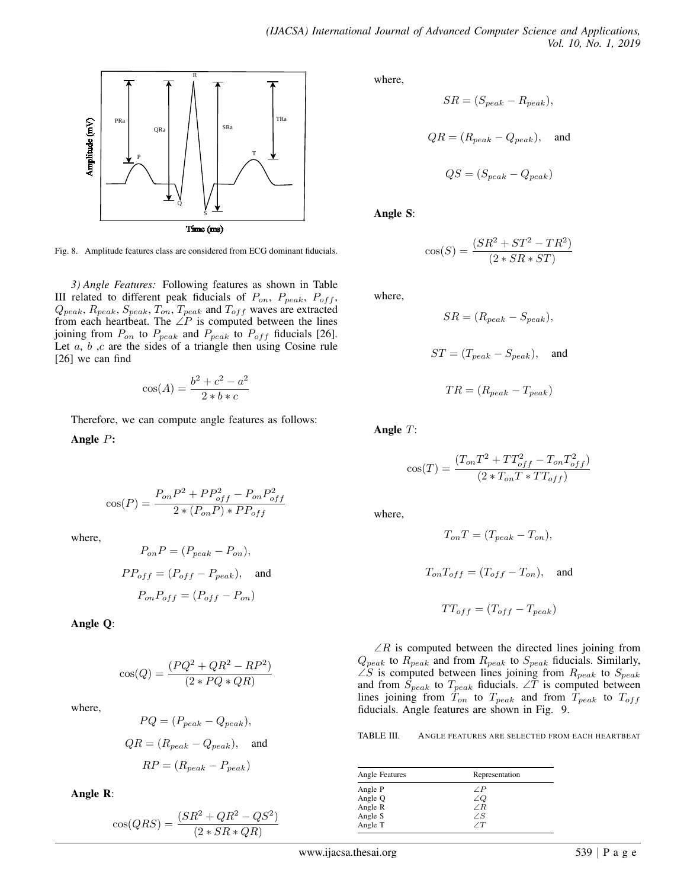

Fig. 8. Amplitude features class are considered from ECG dominant fiducials.

*3) Angle Features:* Following features as shown in Table III related to different peak fiducials of  $P_{on}$ ,  $P_{peak}$ ,  $P_{off}$ ,  $Q_{peak}, R_{peak}, S_{peak}, T_{on}, T_{peak}$  and  $T_{off}$  waves are extracted from each heartbeat. The  $\angle P$  is computed between the lines joining from  $P_{on}$  to  $P_{peak}$  and  $P_{peak}$  to  $P_{off}$  fiducials [26]. Let  $a, b, c$  are the sides of a triangle then using Cosine rule [26] we can find

$$
\cos(A) = \frac{b^2 + c^2 - a^2}{2 * b * c}
$$

Therefore, we can compute angle features as follows:

Angle P:

$$
\cos(P) = \frac{P_{on}P^2 + PP_{off}^2 - P_{on}P_{off}^2}{2 * (P_{on}P) * PP_{off}}
$$

where,

$$
P_{on}P = (P_{peak} - P_{on}),
$$
  
\n
$$
PP_{off} = (P_{off} - P_{peak}),
$$
 and  
\n
$$
P_{on}P_{off} = (P_{off} - P_{on})
$$

Angle Q:

 $cos(Q) = \frac{(PQ^2 + QR^2 - RP^2)}{(2 \cdot RQ^2 - RP^2)}$  $(2 * PQ * QR)$ 

where,

$$
PQ = (P_{peak} - Q_{peak}),
$$
  
\n
$$
QR = (R_{peak} - Q_{peak}),
$$
 and  
\n
$$
RP = (R_{peak} - P_{peak})
$$

Angle R:

$$
\cos(QRS) = \frac{(SR^2 + QR^2 - QS^2)}{(2*SR*QR)}
$$

where,

$$
SR = (S_{peak} - R_{peak}),
$$
  

$$
QR = (R_{peak} - Q_{peak}),
$$
 and  

$$
QS = (S_{peak} - Q_{peak})
$$

Angle S:

$$
\cos(S) = \frac{(SR^2 + ST^2 - TR^2)}{(2 * SR * ST)}
$$

where,

$$
SR = (R_{peak} - S_{peak}),
$$

$$
ST = (T_{peak} - S_{peak}), \text{ and}
$$

$$
TR = (R_{peak} - T_{peak})
$$

Angle T:

$$
\cos(T) = \frac{(T_{on}T^2 + TT_{off}^2 - T_{on}T_{off}^2)}{(2*T_{on}T*TT_{off})}
$$

where,

$$
T_{on}T=(T_{peak}-T_{on}),
$$

$$
T_{on}T_{off} = (T_{off} - T_{on}), \text{ and}
$$

$$
TT_{off} = (T_{off} - T_{peak})
$$

 $\angle R$  is computed between the directed lines joining from  $Q_{peak}$  to  $R_{peak}$  and from  $R_{peak}$  to  $S_{peak}$  fiducials. Similarly,  $\angle S$  is computed between lines joining from  $R_{peak}$  to  $S_{peak}$ and from  $\dot{S}_{peak}$  to  $T_{peak}$  fiducials. ∠T is computed between lines joining from  $T_{on}$  to  $T_{peak}$  and from  $T_{peak}$  to  $T_{off}$ fiducials. Angle features are shown in Fig. 9.

TABLE III. ANGLE FEATURES ARE SELECTED FROM EACH HEARTBEAT

| Angle Features | Representation |
|----------------|----------------|
| Angle P        | $\angle P$     |
| Angle Q        | ∠Q             |
| Angle R        | $\angle R$     |
| Angle S        | ΖS             |
| Angle T        |                |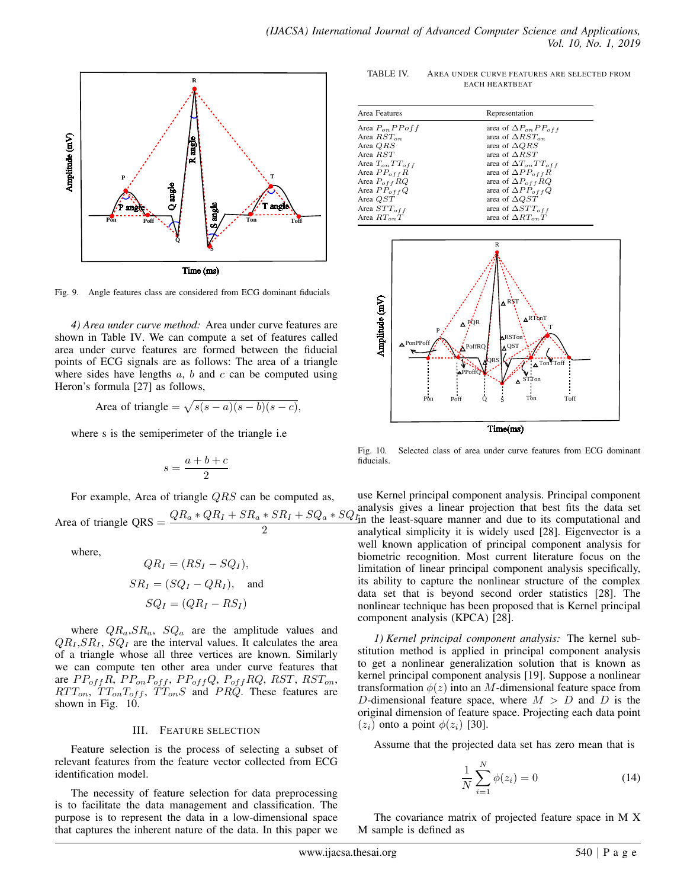

Fig. 9. Angle features class are considered from ECG dominant fiducials

*4) Area under curve method:* Area under curve features are shown in Table IV. We can compute a set of features called area under curve features are formed between the fiducial points of ECG signals are as follows: The area of a triangle where sides have lengths  $a, b$  and  $c$  can be computed using Heron's formula [27] as follows,

Area of triangle = 
$$
\sqrt{s(s-a)(s-b)(s-c)}
$$
,

where s is the semiperimeter of the triangle i.e

$$
s=\frac{a+b+c}{2}
$$

For example, Area of triangle  $QRS$  can be computed as,

Area of triangle QRS =  $\frac{QR_a * QR_I + SR_a * SR_I + SQ_a * SQ_I}{2}$ 2

where,

$$
QR_I = (RS_I - SQ_I),
$$
  
\n
$$
SR_I = (SQ_I - QR_I),
$$
 and  
\n
$$
SQ_I = (QR_I - RS_I)
$$

where  $QR_a, SR_a$ ,  $SQ_a$  are the amplitude values and  $QR_I, SR_I, SQ_I$  are the interval values. It calculates the area of a triangle whose all three vertices are known. Similarly we can compute ten other area under curve features that are  $PP_{off}R$ ,  $PP_{on}P_{off}$ ,  $PP_{off}Q$ ,  $P_{off}RQ$ ,  $RST$ ,  $RST_{on}$ ,  $RTT_{on}$ ,  $TT_{on}T_{off}$ ,  $TT_{on}S$  and  $PRQ$ . These features are shown in Fig. 10.

#### III. FEATURE SELECTION

Feature selection is the process of selecting a subset of relevant features from the feature vector collected from ECG identification model.

The necessity of feature selection for data preprocessing is to facilitate the data management and classification. The purpose is to represent the data in a low-dimensional space that captures the inherent nature of the data. In this paper we

TABLE IV. AREA UNDER CURVE FEATURES ARE SELECTED FROM EACH HEARTBEAT

| Area Features         | Representation                  |
|-----------------------|---------------------------------|
| Area $P_{on} PP$ of f | area of $\Delta P_{on}PP_{off}$ |
| Area $RST_{on}$       | area of $\Delta RST_{on}$       |
| Area QRS              | area of $\triangle QRS$         |
| Area RST              | area of $\triangle RST$         |
| Area $T_{on}TT_{off}$ | area of $\Delta T_{on}TT_{off}$ |
| Area $PP_{off}R$      | area of $\Delta PP_{off}R$      |
| Area $P_{off}$ RQ     | area of $\Delta P_{off} RQ$     |
| Area $PP_{off}Q$      | area of $\Delta PP_{off}Q$      |
| Area QST              | area of $\Delta QST$            |
| Area $STT_{off}$      | area of $\Delta STT_{off}$      |
| Area $RT_{on}T$       | area of $\Delta RT_{on}T$       |



Fig. 10. Selected class of area under curve features from ECG dominant fiducials.

use Kernel principal component analysis. Principal component analysis gives a linear projection that best fits the data set in the least-square manner and due to its computational and analytical simplicity it is widely used [28]. Eigenvector is a well known application of principal component analysis for biometric recognition. Most current literature focus on the limitation of linear principal component analysis specifically, its ability to capture the nonlinear structure of the complex data set that is beyond second order statistics [28]. The nonlinear technique has been proposed that is Kernel principal component analysis (KPCA) [28].

*1) Kernel principal component analysis:* The kernel substitution method is applied in principal component analysis to get a nonlinear generalization solution that is known as kernel principal component analysis [19]. Suppose a nonlinear transformation  $\phi(z)$  into an M-dimensional feature space from D-dimensional feature space, where  $M > D$  and D is the original dimension of feature space. Projecting each data point  $(z_i)$  onto a point  $\phi(z_i)$  [30].

Assume that the projected data set has zero mean that is

$$
\frac{1}{N} \sum_{i=1}^{N} \phi(z_i) = 0
$$
\n(14)

The covariance matrix of projected feature space in M X M sample is defined as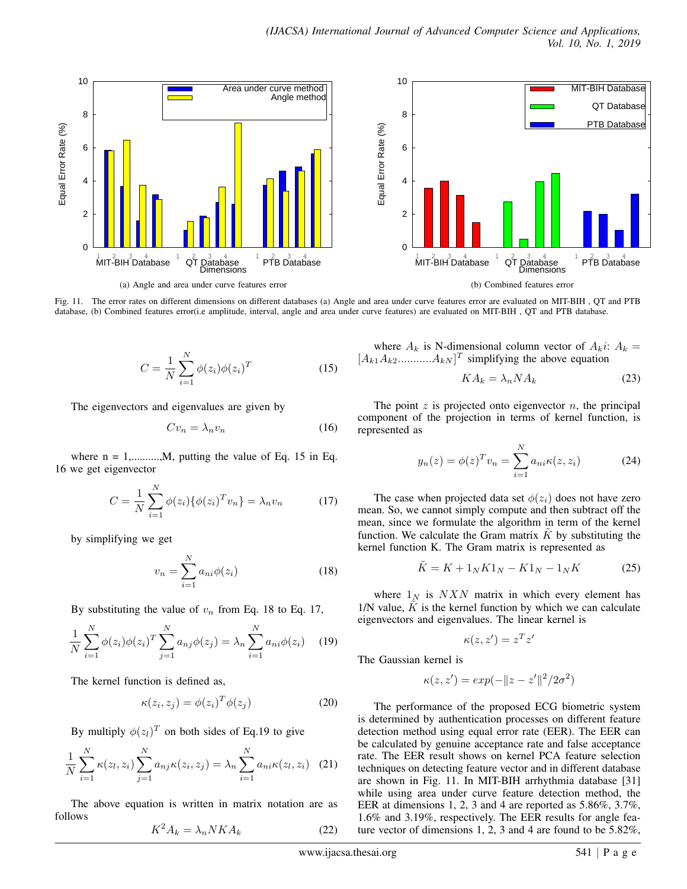

Fig. 11. The error rates on different dimensions on different databases (a) Angle and area under curve features error are evaluated on MIT-BIH , QT and PTB database, (b) Combined features error(i.e amplitude, interval, angle and area under curve features) are evaluated on MIT-BIH , QT and PTB database.

$$
C = \frac{1}{N} \sum_{i=1}^{N} \phi(z_i) \phi(z_i)^T
$$
 (15)

The eigenvectors and eigenvalues are given by

$$
Cv_n = \lambda_n v_n \tag{16}
$$

where  $n = 1, \ldots, M$ , putting the value of Eq. 15 in Eq. 16 we get eigenvector

$$
C = \frac{1}{N} \sum_{i=1}^{N} \phi(z_i) \{ \phi(z_i)^T v_n \} = \lambda_n v_n \tag{17}
$$

by simplifying we get

$$
v_n = \sum_{i=1}^{N} a_{ni} \phi(z_i)
$$
 (18)

By substituting the value of  $v_n$  from Eq. 18 to Eq. 17,

$$
\frac{1}{N} \sum_{i=1}^{N} \phi(z_i) \phi(z_i)^T \sum_{j=1}^{N} a_{nj} \phi(z_j) = \lambda_n \sum_{i=1}^{N} a_{ni} \phi(z_i)
$$
 (19)

The kernel function is defined as,

$$
\kappa(z_i, z_j) = \phi(z_i)^T \phi(z_j)
$$
 (20)

By multiply  $\phi(z_l)^T$  on both sides of Eq.19 to give

$$
\frac{1}{N} \sum_{i=1}^{N} \kappa(z_i, z_i) \sum_{j=1}^{N} a_{nj} \kappa(z_i, z_j) = \lambda_n \sum_{i=1}^{N} a_{ni} \kappa(z_i, z_i) \quad (21)
$$

The above equation is written in matrix notation are as follows

$$
K^2 A_k = \lambda_n N K A_k \tag{22}
$$

where  $A_k$  is N-dimensional column vector of  $A_k$ *i*:  $A_k$  =  $[A_{k1}A_{k2}$ ............ $A_{kN}]^T$  simplifying the above equation

$$
KA_k = \lambda_n N A_k \tag{23}
$$

The point  $z$  is projected onto eigenvector  $n$ , the principal component of the projection in terms of kernel function, is represented as

$$
y_n(z) = \phi(z)^T v_n = \sum_{i=1}^N a_{ni} \kappa(z, z_i)
$$
 (24)

The case when projected data set  $\phi(z_i)$  does not have zero mean. So, we cannot simply compute and then subtract off the mean, since we formulate the algorithm in term of the kernel function. We calculate the Gram matrix  $K$  by substituting the kernel function K. The Gram matrix is represented as

$$
\tilde{K} = K + 1_N K 1_N - K 1_N - 1_N K \tag{25}
$$

where  $1_N$  is  $N X N$  matrix in which every element has  $1/N$  value,  $K$  is the kernel function by which we can calculate eigenvectors and eigenvalues. The linear kernel is

$$
\kappa(z, z') = z^T z'
$$

The Gaussian kernel is

$$
\kappa(z, z') = exp(-\|z - z'\|^2 / 2\sigma^2)
$$

The performance of the proposed ECG biometric system is determined by authentication processes on different feature detection method using equal error rate (EER). The EER can be calculated by genuine acceptance rate and false acceptance rate. The EER result shows on kernel PCA feature selection techniques on detecting feature vector and in different database are shown in Fig. 11. In MIT-BIH arrhythmia database [31] while using area under curve feature detection method, the EER at dimensions 1, 2, 3 and 4 are reported as 5.86%, 3.7%, 1.6% and 3.19%, respectively. The EER results for angle feature vector of dimensions 1, 2, 3 and 4 are found to be 5.82%,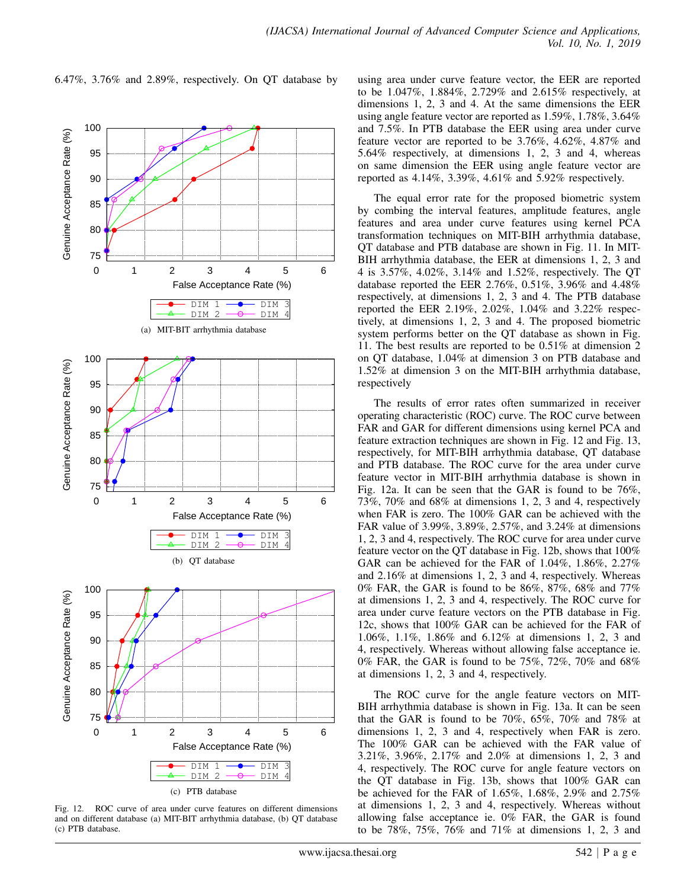6.47%, 3.76% and 2.89%, respectively. On QT database by





using area under curve feature vector, the EER are reported to be 1.047%, 1.884%, 2.729% and 2.615% respectively, at dimensions 1, 2, 3 and 4. At the same dimensions the EER using angle feature vector are reported as 1.59%, 1.78%, 3.64% and 7.5%. In PTB database the EER using area under curve feature vector are reported to be 3.76%, 4.62%, 4.87% and 5.64% respectively, at dimensions 1, 2, 3 and 4, whereas on same dimension the EER using angle feature vector are reported as 4.14%, 3.39%, 4.61% and 5.92% respectively.

The equal error rate for the proposed biometric system by combing the interval features, amplitude features, angle features and area under curve features using kernel PCA transformation techniques on MIT-BIH arrhythmia database, QT database and PTB database are shown in Fig. 11. In MIT-BIH arrhythmia database, the EER at dimensions 1, 2, 3 and 4 is 3.57%, 4.02%, 3.14% and 1.52%, respectively. The QT database reported the EER 2.76%, 0.51%, 3.96% and 4.48% respectively, at dimensions 1, 2, 3 and 4. The PTB database reported the EER 2.19%, 2.02%, 1.04% and 3.22% respectively, at dimensions 1, 2, 3 and 4. The proposed biometric system performs better on the QT database as shown in Fig. 11. The best results are reported to be 0.51% at dimension 2 on QT database, 1.04% at dimension 3 on PTB database and 1.52% at dimension 3 on the MIT-BIH arrhythmia database, respectively

The results of error rates often summarized in receiver operating characteristic (ROC) curve. The ROC curve between FAR and GAR for different dimensions using kernel PCA and feature extraction techniques are shown in Fig. 12 and Fig. 13, respectively, for MIT-BIH arrhythmia database, QT database and PTB database. The ROC curve for the area under curve feature vector in MIT-BIH arrhythmia database is shown in Fig. 12a. It can be seen that the GAR is found to be 76%, 73%, 70% and 68% at dimensions 1, 2, 3 and 4, respectively when FAR is zero. The 100% GAR can be achieved with the FAR value of 3.99%, 3.89%, 2.57%, and 3.24% at dimensions 1, 2, 3 and 4, respectively. The ROC curve for area under curve feature vector on the QT database in Fig. 12b, shows that 100% GAR can be achieved for the FAR of 1.04%, 1.86%, 2.27% and 2.16% at dimensions 1, 2, 3 and 4, respectively. Whereas 0% FAR, the GAR is found to be 86%, 87%, 68% and 77% at dimensions 1, 2, 3 and 4, respectively. The ROC curve for area under curve feature vectors on the PTB database in Fig. 12c, shows that 100% GAR can be achieved for the FAR of 1.06%, 1.1%, 1.86% and 6.12% at dimensions 1, 2, 3 and 4, respectively. Whereas without allowing false acceptance ie. 0% FAR, the GAR is found to be 75%, 72%, 70% and 68% at dimensions 1, 2, 3 and 4, respectively.

The ROC curve for the angle feature vectors on MIT-BIH arrhythmia database is shown in Fig. 13a. It can be seen that the GAR is found to be 70%, 65%, 70% and 78% at dimensions 1, 2, 3 and 4, respectively when FAR is zero. The 100% GAR can be achieved with the FAR value of 3.21%, 3.96%, 2.17% and 2.0% at dimensions 1, 2, 3 and 4, respectively. The ROC curve for angle feature vectors on the QT database in Fig. 13b, shows that 100% GAR can be achieved for the FAR of 1.65%, 1.68%, 2.9% and 2.75% at dimensions 1, 2, 3 and 4, respectively. Whereas without allowing false acceptance ie. 0% FAR, the GAR is found to be 78%, 75%, 76% and 71% at dimensions 1, 2, 3 and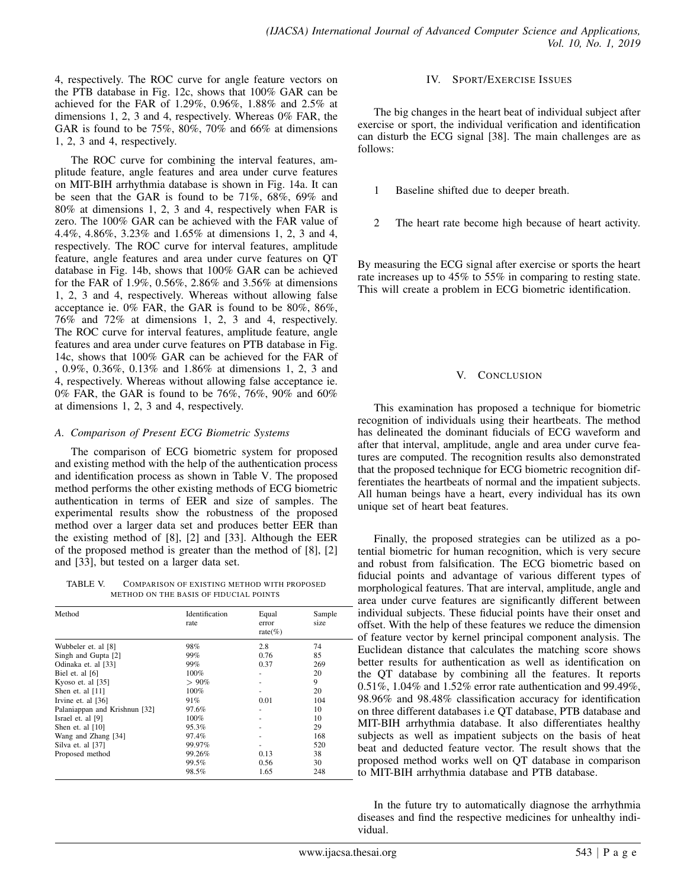4, respectively. The ROC curve for angle feature vectors on the PTB database in Fig. 12c, shows that 100% GAR can be achieved for the FAR of 1.29%, 0.96%, 1.88% and 2.5% at dimensions 1, 2, 3 and 4, respectively. Whereas 0% FAR, the GAR is found to be 75%,  $80\%$ , 70% and 66% at dimensions 1, 2, 3 and 4, respectively.

The ROC curve for combining the interval features, amplitude feature, angle features and area under curve features on MIT-BIH arrhythmia database is shown in Fig. 14a. It can be seen that the GAR is found to be 71%, 68%, 69% and 80% at dimensions 1, 2, 3 and 4, respectively when FAR is zero. The 100% GAR can be achieved with the FAR value of 4.4%, 4.86%, 3.23% and 1.65% at dimensions 1, 2, 3 and 4, respectively. The ROC curve for interval features, amplitude feature, angle features and area under curve features on QT database in Fig. 14b, shows that 100% GAR can be achieved for the FAR of 1.9%, 0.56%, 2.86% and 3.56% at dimensions 1, 2, 3 and 4, respectively. Whereas without allowing false acceptance ie. 0% FAR, the GAR is found to be 80%, 86%, 76% and 72% at dimensions 1, 2, 3 and 4, respectively. The ROC curve for interval features, amplitude feature, angle features and area under curve features on PTB database in Fig. 14c, shows that 100% GAR can be achieved for the FAR of , 0.9%, 0.36%, 0.13% and 1.86% at dimensions 1, 2, 3 and 4, respectively. Whereas without allowing false acceptance ie. 0% FAR, the GAR is found to be 76%, 76%, 90% and 60% at dimensions 1, 2, 3 and 4, respectively.

# *A. Comparison of Present ECG Biometric Systems*

The comparison of ECG biometric system for proposed and existing method with the help of the authentication process and identification process as shown in Table V. The proposed method performs the other existing methods of ECG biometric authentication in terms of EER and size of samples. The experimental results show the robustness of the proposed method over a larger data set and produces better EER than the existing method of [8], [2] and [33]. Although the EER of the proposed method is greater than the method of [8], [2] and [33], but tested on a larger data set.

TABLE V. COMPARISON OF EXISTING METHOD WITH PROPOSED METHOD ON THE BASIS OF FIDUCIAL POINTS

| Method                        | Identification<br>rate | Equal<br>error<br>rate $(\% )$ | Sample<br>size |
|-------------------------------|------------------------|--------------------------------|----------------|
| Wubbeler et. al [8]           | 98%                    | 2.8                            | 74             |
| Singh and Gupta [2]           | 99%                    | 0.76                           | 85             |
| Odinaka et. al [33]           | 99%                    | 0.37                           | 269            |
| Biel et. al [6]               | 100%                   |                                | 20             |
| Kyoso et. al [35]             | >90%                   |                                | 9              |
| Shen et. al [11]              | 100%                   |                                | 20             |
| Irvine et. al [36]            | 91%                    | 0.01                           | 104            |
| Palaniappan and Krishnun [32] | 97.6%                  |                                | 10             |
| Israel et. al [9]             | 100%                   |                                | 10             |
| Shen et. al $[10]$            | 95.3%                  |                                | 29             |
| Wang and Zhang [34]           | 97.4%                  |                                | 168            |
| Silva et. al [37]             | 99.97%                 |                                | 520            |
| Proposed method               | 99.26%                 | 0.13                           | 38             |
|                               | 99.5%                  | 0.56                           | 30             |
|                               | 98.5%                  | 1.65                           | 248            |

## IV. SPORT/EXERCISE ISSUES

The big changes in the heart beat of individual subject after exercise or sport, the individual verification and identification can disturb the ECG signal [38]. The main challenges are as follows:

- 1 Baseline shifted due to deeper breath.
- 2 The heart rate become high because of heart activity.

By measuring the ECG signal after exercise or sports the heart rate increases up to 45% to 55% in comparing to resting state. This will create a problem in ECG biometric identification.

# V. CONCLUSION

This examination has proposed a technique for biometric recognition of individuals using their heartbeats. The method has delineated the dominant fiducials of ECG waveform and after that interval, amplitude, angle and area under curve features are computed. The recognition results also demonstrated that the proposed technique for ECG biometric recognition differentiates the heartbeats of normal and the impatient subjects. All human beings have a heart, every individual has its own unique set of heart beat features.

Finally, the proposed strategies can be utilized as a potential biometric for human recognition, which is very secure and robust from falsification. The ECG biometric based on fiducial points and advantage of various different types of morphological features. That are interval, amplitude, angle and area under curve features are significantly different between individual subjects. These fiducial points have their onset and offset. With the help of these features we reduce the dimension of feature vector by kernel principal component analysis. The Euclidean distance that calculates the matching score shows better results for authentication as well as identification on the QT database by combining all the features. It reports 0.51%, 1.04% and 1.52% error rate authentication and 99.49%, 98.96% and 98.48% classification accuracy for identification on three different databases i.e QT database, PTB database and MIT-BIH arrhythmia database. It also differentiates healthy subjects as well as impatient subjects on the basis of heat beat and deducted feature vector. The result shows that the proposed method works well on QT database in comparison to MIT-BIH arrhythmia database and PTB database.

In the future try to automatically diagnose the arrhythmia diseases and find the respective medicines for unhealthy individual.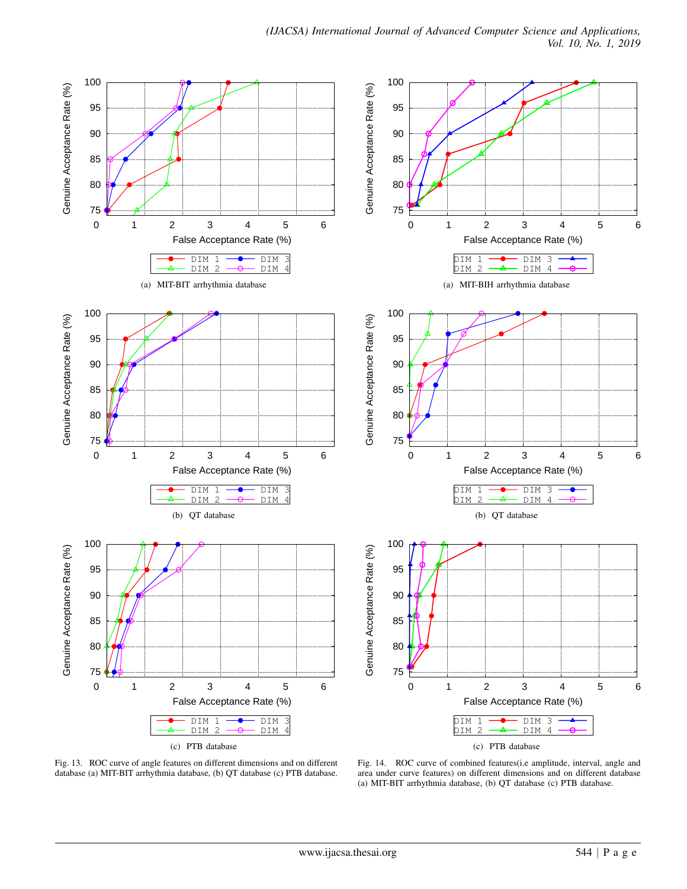

Fig. 13. ROC curve of angle features on different dimensions and on different database (a) MIT-BIT arrhythmia database, (b) QT database (c) PTB database.

Fig. 14. ROC curve of combined features(i.e amplitude, interval, angle and area under curve features) on different dimensions and on different database (a) MIT-BIT arrhythmia database, (b) QT database (c) PTB database.